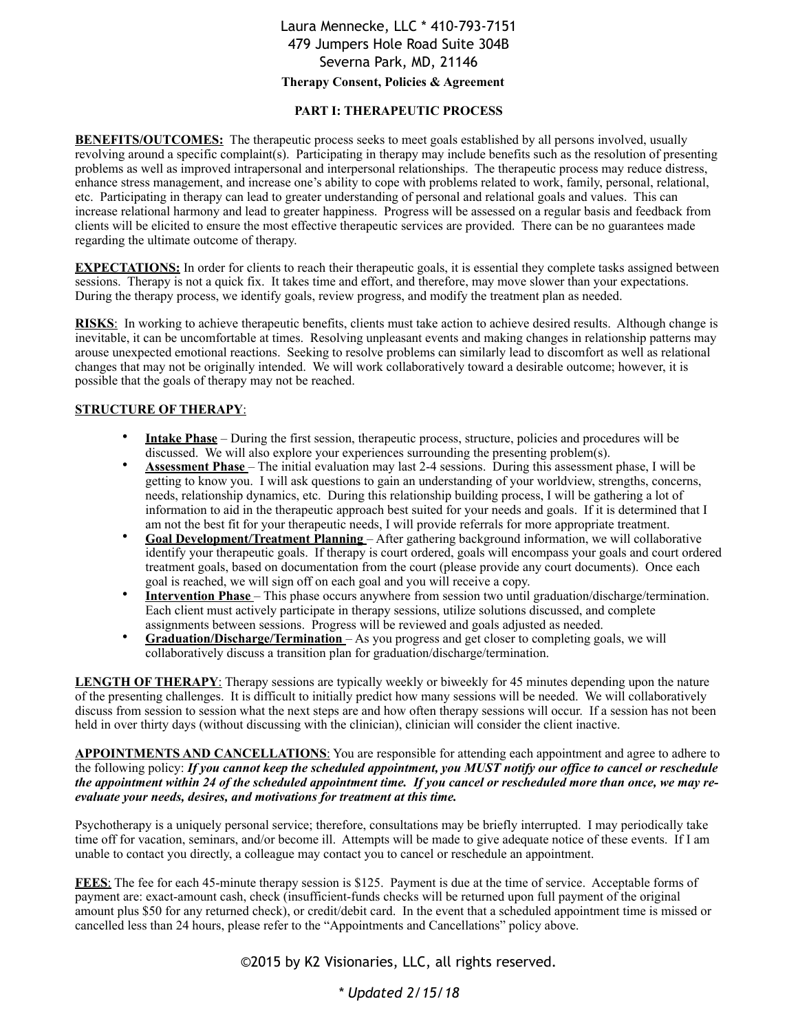# Laura Mennecke, LLC \* 410-793-7151 479 Jumpers Hole Road Suite 304B Severna Park, MD, 21146 **Therapy Consent, Policies & Agreement**

#### **PART I: THERAPEUTIC PROCESS**

**BENEFITS/OUTCOMES:** The therapeutic process seeks to meet goals established by all persons involved, usually revolving around a specific complaint(s). Participating in therapy may include benefits such as the resolution of presenting problems as well as improved intrapersonal and interpersonal relationships. The therapeutic process may reduce distress, enhance stress management, and increase one's ability to cope with problems related to work, family, personal, relational, etc. Participating in therapy can lead to greater understanding of personal and relational goals and values. This can increase relational harmony and lead to greater happiness. Progress will be assessed on a regular basis and feedback from clients will be elicited to ensure the most effective therapeutic services are provided. There can be no guarantees made regarding the ultimate outcome of therapy.

**EXPECTATIONS:** In order for clients to reach their therapeutic goals, it is essential they complete tasks assigned between sessions. Therapy is not a quick fix. It takes time and effort, and therefore, may move slower than your expectations. During the therapy process, we identify goals, review progress, and modify the treatment plan as needed.

**RISKS**: In working to achieve therapeutic benefits, clients must take action to achieve desired results. Although change is inevitable, it can be uncomfortable at times. Resolving unpleasant events and making changes in relationship patterns may arouse unexpected emotional reactions. Seeking to resolve problems can similarly lead to discomfort as well as relational changes that may not be originally intended. We will work collaboratively toward a desirable outcome; however, it is possible that the goals of therapy may not be reached.

#### **STRUCTURE OF THERAPY**:

- **Intake Phase** During the first session, therapeutic process, structure, policies and procedures will be discussed. We will also explore your experiences surrounding the presenting problem(s).
- **Assessment Phase** The initial evaluation may last 2-4 sessions. During this assessment phase, I will be getting to know you. I will ask questions to gain an understanding of your worldview, strengths, concerns, needs, relationship dynamics, etc. During this relationship building process, I will be gathering a lot of information to aid in the therapeutic approach best suited for your needs and goals. If it is determined that I am not the best fit for your therapeutic needs, I will provide referrals for more appropriate treatment.
- **Goal Development/Treatment Planning**  After gathering background information, we will collaborative identify your therapeutic goals. If therapy is court ordered, goals will encompass your goals and court ordered treatment goals, based on documentation from the court (please provide any court documents). Once each goal is reached, we will sign off on each goal and you will receive a copy.
- **Intervention Phase** This phase occurs anywhere from session two until graduation/discharge/termination. Each client must actively participate in therapy sessions, utilize solutions discussed, and complete assignments between sessions. Progress will be reviewed and goals adjusted as needed.
- **Graduation/Discharge/Termination**  As you progress and get closer to completing goals, we will collaboratively discuss a transition plan for graduation/discharge/termination.

**LENGTH OF THERAPY**: Therapy sessions are typically weekly or biweekly for 45 minutes depending upon the nature of the presenting challenges. It is difficult to initially predict how many sessions will be needed. We will collaboratively discuss from session to session what the next steps are and how often therapy sessions will occur. If a session has not been held in over thirty days (without discussing with the clinician), clinician will consider the client inactive.

**APPOINTMENTS AND CANCELLATIONS**: You are responsible for attending each appointment and agree to adhere to the following policy: *If you cannot keep the scheduled appointment, you MUST notify our office to cancel or reschedule the appointment within 24 of the scheduled appointment time. If you cancel or rescheduled more than once, we may reevaluate your needs, desires, and motivations for treatment at this time.* 

Psychotherapy is a uniquely personal service; therefore, consultations may be briefly interrupted. I may periodically take time off for vacation, seminars, and/or become ill. Attempts will be made to give adequate notice of these events. If I am unable to contact you directly, a colleague may contact you to cancel or reschedule an appointment.

**FEES**: The fee for each 45-minute therapy session is \$125. Payment is due at the time of service. Acceptable forms of payment are: exact-amount cash, check (insufficient-funds checks will be returned upon full payment of the original amount plus \$50 for any returned check), or credit/debit card. In the event that a scheduled appointment time is missed or cancelled less than 24 hours, please refer to the "Appointments and Cancellations" policy above.

©2015 by K2 Visionaries, LLC, all rights reserved.

### *\* Updated 2/15/18*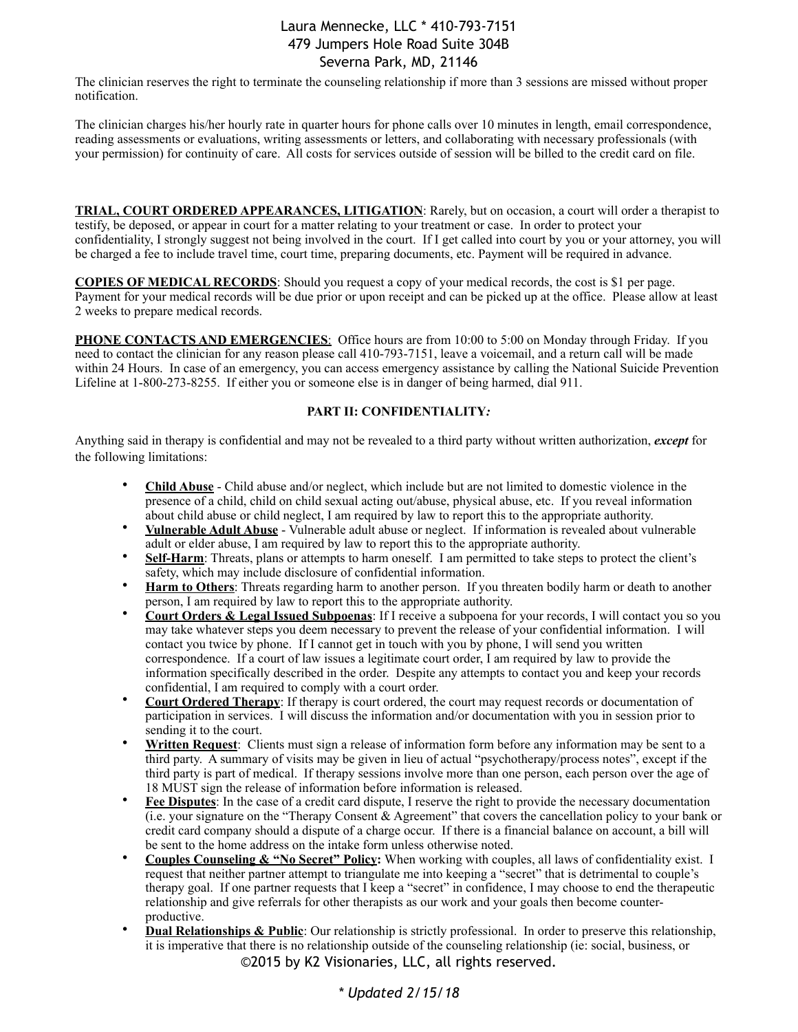The clinician reserves the right to terminate the counseling relationship if more than 3 sessions are missed without proper notification.

The clinician charges his/her hourly rate in quarter hours for phone calls over 10 minutes in length, email correspondence, reading assessments or evaluations, writing assessments or letters, and collaborating with necessary professionals (with your permission) for continuity of care. All costs for services outside of session will be billed to the credit card on file.

**TRIAL, COURT ORDERED APPEARANCES, LITIGATION**: Rarely, but on occasion, a court will order a therapist to testify, be deposed, or appear in court for a matter relating to your treatment or case. In order to protect your confidentiality, I strongly suggest not being involved in the court. If I get called into court by you or your attorney, you will be charged a fee to include travel time, court time, preparing documents, etc. Payment will be required in advance.

**COPIES OF MEDICAL RECORDS**: Should you request a copy of your medical records, the cost is \$1 per page. Payment for your medical records will be due prior or upon receipt and can be picked up at the office. Please allow at least 2 weeks to prepare medical records.

**PHONE CONTACTS AND EMERGENCIES**: Office hours are from 10:00 to 5:00 on Monday through Friday. If you need to contact the clinician for any reason please call 410-793-7151, leave a voicemail, and a return call will be made within 24 Hours. In case of an emergency, you can access emergency assistance by calling the National Suicide Prevention Lifeline at 1-800-273-8255. If either you or someone else is in danger of being harmed, dial 911.

#### **PART II: CONFIDENTIALITY***:*

Anything said in therapy is confidential and may not be revealed to a third party without written authorization, *except* for the following limitations:

- **Child Abuse** Child abuse and/or neglect, which include but are not limited to domestic violence in the presence of a child, child on child sexual acting out/abuse, physical abuse, etc. If you reveal information about child abuse or child neglect, I am required by law to report this to the appropriate authority.
- **Vulnerable Adult Abuse** Vulnerable adult abuse or neglect. If information is revealed about vulnerable adult or elder abuse, I am required by law to report this to the appropriate authority.
- **Self-Harm**: Threats, plans or attempts to harm oneself. I am permitted to take steps to protect the client's safety, which may include disclosure of confidential information.
- **Harm to Others**: Threats regarding harm to another person. If you threaten bodily harm or death to another person, I am required by law to report this to the appropriate authority.
- **Court Orders & Legal Issued Subpoenas**: If I receive a subpoena for your records, I will contact you so you may take whatever steps you deem necessary to prevent the release of your confidential information. I will contact you twice by phone. If I cannot get in touch with you by phone, I will send you written correspondence. If a court of law issues a legitimate court order, I am required by law to provide the information specifically described in the order. Despite any attempts to contact you and keep your records confidential, I am required to comply with a court order.
- **Court Ordered Therapy**: If therapy is court ordered, the court may request records or documentation of participation in services. I will discuss the information and/or documentation with you in session prior to sending it to the court.
- **Written Request**: Clients must sign a release of information form before any information may be sent to a third party. A summary of visits may be given in lieu of actual "psychotherapy/process notes", except if the third party is part of medical. If therapy sessions involve more than one person, each person over the age of 18 MUST sign the release of information before information is released.
- **Fee Disputes**: In the case of a credit card dispute, I reserve the right to provide the necessary documentation (i.e. your signature on the "Therapy Consent & Agreement" that covers the cancellation policy to your bank or credit card company should a dispute of a charge occur. If there is a financial balance on account, a bill will be sent to the home address on the intake form unless otherwise noted.
- **Couples Counseling & "No Secret" Policy:** When working with couples, all laws of confidentiality exist. I request that neither partner attempt to triangulate me into keeping a "secret" that is detrimental to couple's therapy goal. If one partner requests that I keep a "secret" in confidence, I may choose to end the therapeutic relationship and give referrals for other therapists as our work and your goals then become counterproductive.
- **Dual Relationships & Public**: Our relationship is strictly professional. In order to preserve this relationship, it is imperative that there is no relationship outside of the counseling relationship (ie: social, business, or ©2015 by K2 Visionaries, LLC, all rights reserved.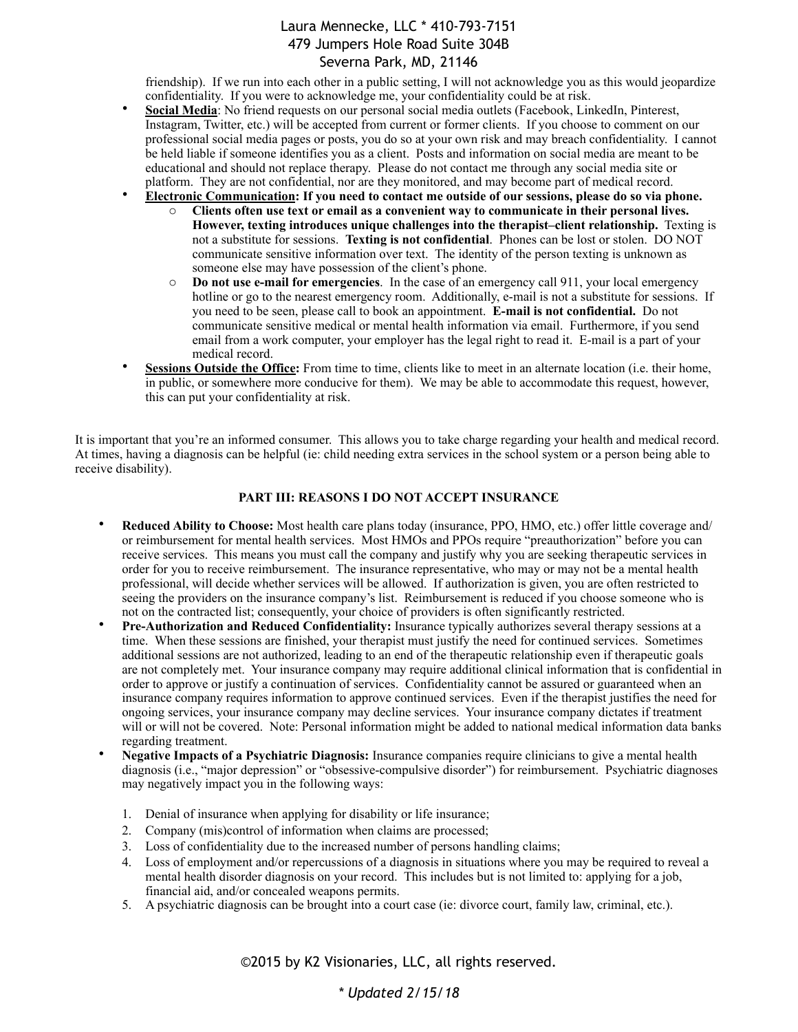friendship). If we run into each other in a public setting, I will not acknowledge you as this would jeopardize confidentiality. If you were to acknowledge me, your confidentiality could be at risk.

- **Social Media**: No friend requests on our personal social media outlets (Facebook, LinkedIn, Pinterest, Instagram, Twitter, etc.) will be accepted from current or former clients. If you choose to comment on our professional social media pages or posts, you do so at your own risk and may breach confidentiality. I cannot be held liable if someone identifies you as a client. Posts and information on social media are meant to be educational and should not replace therapy. Please do not contact me through any social media site or platform. They are not confidential, nor are they monitored, and may become part of medical record.
- **Electronic Communication: If you need to contact me outside of our sessions, please do so via phone.** 
	- o **Clients often use text or email as a convenient way to communicate in their personal lives.**  However, texting introduces unique challenges into the therapist–client relationship. Texting is not a substitute for sessions. **Texting is not confidential**. Phones can be lost or stolen. DO NOT communicate sensitive information over text. The identity of the person texting is unknown as someone else may have possession of the client's phone.
	- o **Do not use e-mail for emergencies**. In the case of an emergency call 911, your local emergency hotline or go to the nearest emergency room. Additionally, e-mail is not a substitute for sessions. If you need to be seen, please call to book an appointment. **E-mail is not confidential.** Do not communicate sensitive medical or mental health information via email. Furthermore, if you send email from a work computer, your employer has the legal right to read it. E-mail is a part of your medical record.
- **Sessions Outside the Office:** From time to time, clients like to meet in an alternate location (i.e. their home, in public, or somewhere more conducive for them). We may be able to accommodate this request, however, this can put your confidentiality at risk.

It is important that you're an informed consumer. This allows you to take charge regarding your health and medical record. At times, having a diagnosis can be helpful (ie: child needing extra services in the school system or a person being able to receive disability).

#### **PART III: REASONS I DO NOT ACCEPT INSURANCE**

- **Reduced Ability to Choose:** Most health care plans today (insurance, PPO, HMO, etc.) offer little coverage and/ or reimbursement for mental health services. Most HMOs and PPOs require "preauthorization" before you can receive services. This means you must call the company and justify why you are seeking therapeutic services in order for you to receive reimbursement. The insurance representative, who may or may not be a mental health professional, will decide whether services will be allowed. If authorization is given, you are often restricted to seeing the providers on the insurance company's list. Reimbursement is reduced if you choose someone who is not on the contracted list; consequently, your choice of providers is often significantly restricted.
- **Pre-Authorization and Reduced Confidentiality:** Insurance typically authorizes several therapy sessions at a time. When these sessions are finished, your therapist must justify the need for continued services. Sometimes additional sessions are not authorized, leading to an end of the therapeutic relationship even if therapeutic goals are not completely met. Your insurance company may require additional clinical information that is confidential in order to approve or justify a continuation of services. Confidentiality cannot be assured or guaranteed when an insurance company requires information to approve continued services. Even if the therapist justifies the need for ongoing services, your insurance company may decline services. Your insurance company dictates if treatment will or will not be covered. Note: Personal information might be added to national medical information data banks regarding treatment.
- **Negative Impacts of a Psychiatric Diagnosis:** Insurance companies require clinicians to give a mental health diagnosis (i.e., "major depression" or "obsessive-compulsive disorder") for reimbursement. Psychiatric diagnoses may negatively impact you in the following ways:
	- 1. Denial of insurance when applying for disability or life insurance;
	- 2. Company (mis)control of information when claims are processed;
	- 3. Loss of confidentiality due to the increased number of persons handling claims;
	- 4. Loss of employment and/or repercussions of a diagnosis in situations where you may be required to reveal a mental health disorder diagnosis on your record. This includes but is not limited to: applying for a job, financial aid, and/or concealed weapons permits.
	- 5. A psychiatric diagnosis can be brought into a court case (ie: divorce court, family law, criminal, etc.).

©2015 by K2 Visionaries, LLC, all rights reserved.

### *\* Updated 2/15/18*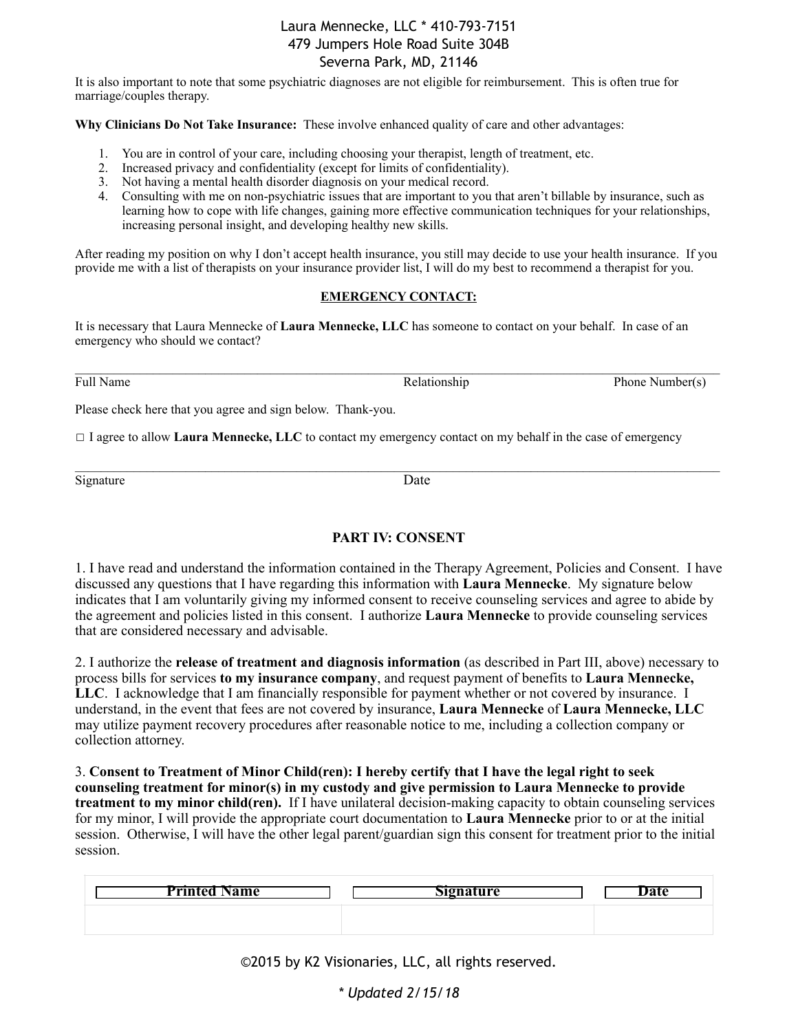It is also important to note that some psychiatric diagnoses are not eligible for reimbursement. This is often true for marriage/couples therapy.

**Why Clinicians Do Not Take Insurance:** These involve enhanced quality of care and other advantages:

- 1. You are in control of your care, including choosing your therapist, length of treatment, etc.
- 2. Increased privacy and confidentiality (except for limits of confidentiality).
- 3. Not having a mental health disorder diagnosis on your medical record.
- 4. Consulting with me on non-psychiatric issues that are important to you that aren't billable by insurance, such as learning how to cope with life changes, gaining more effective communication techniques for your relationships, increasing personal insight, and developing healthy new skills.

After reading my position on why I don't accept health insurance, you still may decide to use your health insurance. If you provide me with a list of therapists on your insurance provider list, I will do my best to recommend a therapist for you.

#### **EMERGENCY CONTACT:**

It is necessary that Laura Mennecke of **Laura Mennecke, LLC** has someone to contact on your behalf. In case of an emergency who should we contact?

Full Name Relationship Relationship Phone Number(s)

Please check here that you agree and sign below. Thank-you.

☐ I agree to allow **Laura Mennecke, LLC** to contact my emergency contact on my behalf in the case of emergency

Signature Date

 $\_$  , and the state of the state of the state of the state of the state of the state of the state of the state of the state of the state of the state of the state of the state of the state of the state of the state of the

### **PART IV: CONSENT**

1. I have read and understand the information contained in the Therapy Agreement, Policies and Consent. I have discussed any questions that I have regarding this information with **Laura Mennecke**. My signature below indicates that I am voluntarily giving my informed consent to receive counseling services and agree to abide by the agreement and policies listed in this consent. I authorize **Laura Mennecke** to provide counseling services that are considered necessary and advisable.

2. I authorize the **release of treatment and diagnosis information** (as described in Part III, above) necessary to process bills for services **to my insurance company**, and request payment of benefits to **Laura Mennecke, LLC**. I acknowledge that I am financially responsible for payment whether or not covered by insurance. I understand, in the event that fees are not covered by insurance, **Laura Mennecke** of **Laura Mennecke, LLC**  may utilize payment recovery procedures after reasonable notice to me, including a collection company or collection attorney.

3. **Consent to Treatment of Minor Child(ren): I hereby certify that I have the legal right to seek counseling treatment for minor(s) in my custody and give permission to Laura Mennecke to provide treatment to my minor child(ren).** If I have unilateral decision-making capacity to obtain counseling services for my minor, I will provide the appropriate court documentation to **Laura Mennecke** prior to or at the initial session. Otherwise, I will have the other legal parent/guardian sign this consent for treatment prior to the initial session.

| ____<br><b>Printed Name</b> | $\sim$<br><b>Signature</b> | ate |
|-----------------------------|----------------------------|-----|
|                             |                            |     |

©2015 by K2 Visionaries, LLC, all rights reserved.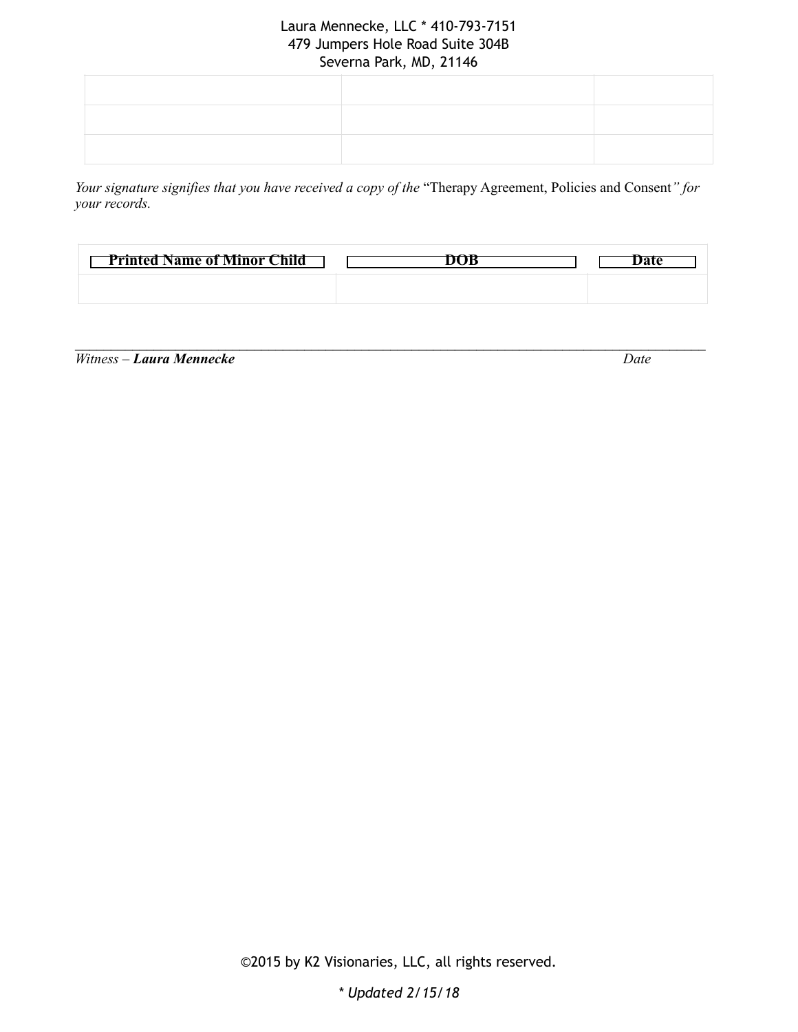*Your signature signifies that you have received a copy of the* "Therapy Agreement, Policies and Consent*" for your records.* 

| <b>Printed Name of Minor Child</b> |  |
|------------------------------------|--|
|                                    |  |

 $\mathcal{L}_\mathcal{L} = \mathcal{L}_\mathcal{L} = \mathcal{L}_\mathcal{L} = \mathcal{L}_\mathcal{L} = \mathcal{L}_\mathcal{L} = \mathcal{L}_\mathcal{L} = \mathcal{L}_\mathcal{L} = \mathcal{L}_\mathcal{L} = \mathcal{L}_\mathcal{L} = \mathcal{L}_\mathcal{L} = \mathcal{L}_\mathcal{L} = \mathcal{L}_\mathcal{L} = \mathcal{L}_\mathcal{L} = \mathcal{L}_\mathcal{L} = \mathcal{L}_\mathcal{L} = \mathcal{L}_\mathcal{L} = \mathcal{L}_\mathcal{L}$ 

*Witness – Laura Mennecke Date* 

©2015 by K2 Visionaries, LLC, all rights reserved.